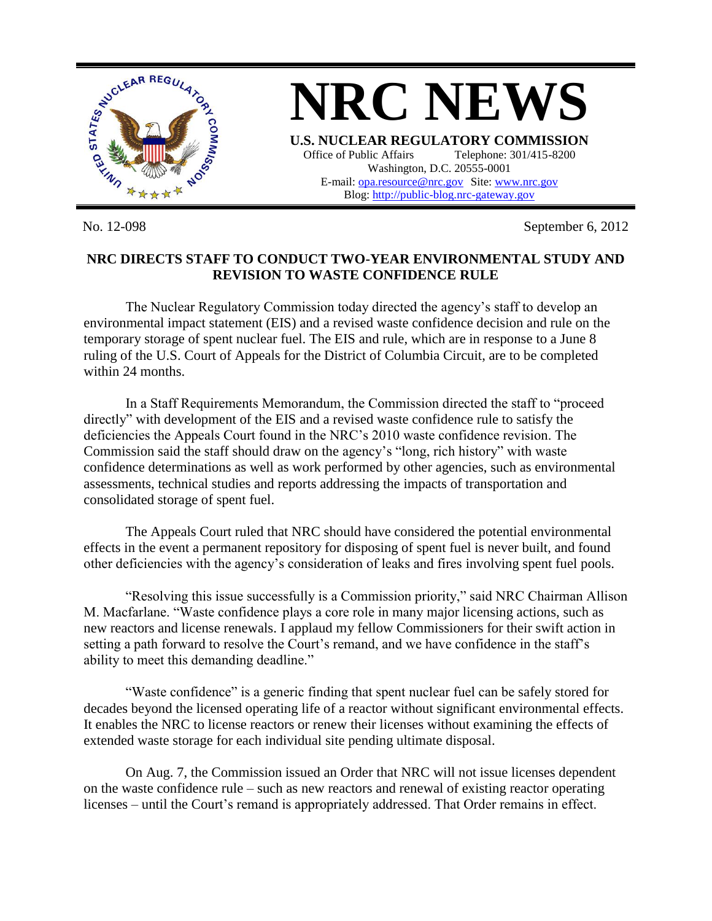

No. 12-098 September 6, 2012

## **NRC DIRECTS STAFF TO CONDUCT TWO-YEAR ENVIRONMENTAL STUDY AND REVISION TO WASTE CONFIDENCE RULE**

The Nuclear Regulatory Commission today directed the agency's staff to develop an environmental impact statement (EIS) and a revised waste confidence decision and rule on the temporary storage of spent nuclear fuel. The EIS and rule, which are in response to a June 8 ruling of the U.S. Court of Appeals for the District of Columbia Circuit, are to be completed within 24 months.

In a Staff Requirements Memorandum, the Commission directed the staff to "proceed directly" with development of the EIS and a revised waste confidence rule to satisfy the deficiencies the Appeals Court found in the NRC's 2010 waste confidence revision. The Commission said the staff should draw on the agency's "long, rich history" with waste confidence determinations as well as work performed by other agencies, such as environmental assessments, technical studies and reports addressing the impacts of transportation and consolidated storage of spent fuel.

The Appeals Court ruled that NRC should have considered the potential environmental effects in the event a permanent repository for disposing of spent fuel is never built, and found other deficiencies with the agency's consideration of leaks and fires involving spent fuel pools.

"Resolving this issue successfully is a Commission priority," said NRC Chairman Allison M. Macfarlane. "Waste confidence plays a core role in many major licensing actions, such as new reactors and license renewals. I applaud my fellow Commissioners for their swift action in setting a path forward to resolve the Court's remand, and we have confidence in the staff's ability to meet this demanding deadline."

"Waste confidence" is a generic finding that spent nuclear fuel can be safely stored for decades beyond the licensed operating life of a reactor without significant environmental effects. It enables the NRC to license reactors or renew their licenses without examining the effects of extended waste storage for each individual site pending ultimate disposal.

On Aug. 7, the Commission issued an Order that NRC will not issue licenses dependent on the waste confidence rule – such as new reactors and renewal of existing reactor operating licenses – until the Court's remand is appropriately addressed. That Order remains in effect.